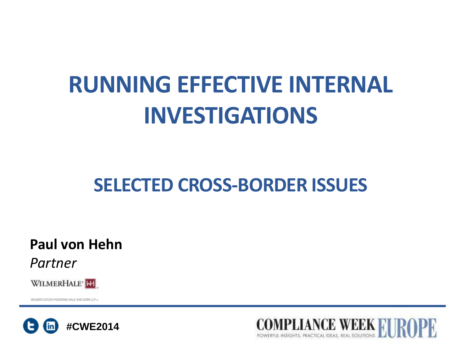# **RUNNING EFFECTIVE INTERNAL INVESTIGATIONS**

## **SELECTED CROSS-BORDER ISSUES**

**Paul von Hehn**

*Partner*



WILMER CUTLER PICKERING HALE AND DOMELLE =



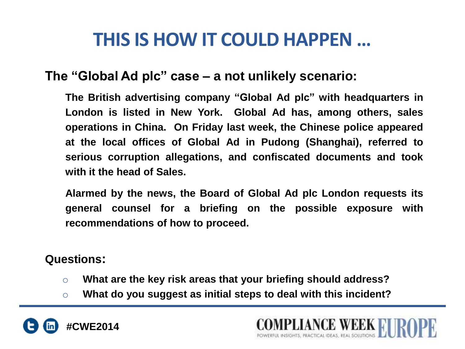### **THIS IS HOW IT COULD HAPPEN …**

### **The "Global Ad plc" case – a not unlikely scenario:**

**The British advertising company "Global Ad plc" with headquarters in London is listed in New York. Global Ad has, among others, sales operations in China. On Friday last week, the Chinese police appeared at the local offices of Global Ad in Pudong (Shanghai), referred to serious corruption allegations, and confiscated documents and took with it the head of Sales.** 

**Alarmed by the news, the Board of Global Ad plc London requests its general counsel for a briefing on the possible exposure with recommendations of how to proceed.**

**ANCE WEEK RI** 

#### **Questions:**

- o **What are the key risk areas that your briefing should address?**
- o **What do you suggest as initial steps to deal with this incident?**

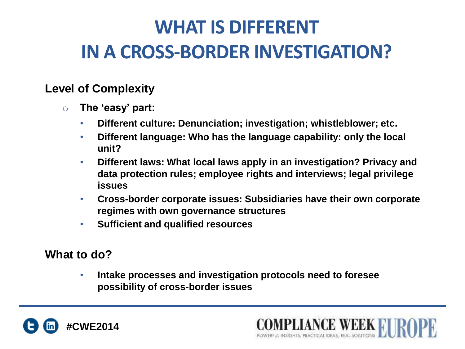# **WHAT IS DIFFERENT IN A CROSS-BORDER INVESTIGATION?**

#### **Level of Complexity**

- o **The 'easy' part:**
	- **Different culture: Denunciation; investigation; whistleblower; etc.**
	- **Different language: Who has the language capability: only the local unit?**
	- **Different laws: What local laws apply in an investigation? Privacy and data protection rules; employee rights and interviews; legal privilege issues**
	- **Cross-border corporate issues: Subsidiaries have their own corporate regimes with own governance structures**
	- **Sufficient and qualified resources**

### **What to do?**

• **Intake processes and investigation protocols need to foresee possibility of cross-border issues**



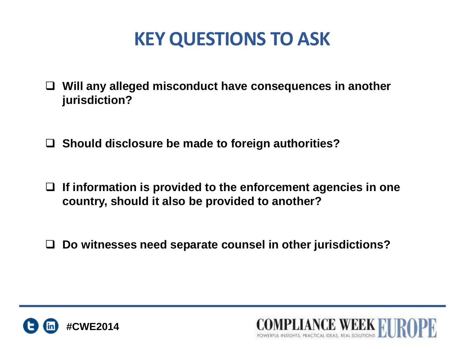### **KEY QUESTIONS TO ASK**

- **Will any alleged misconduct have consequences in another jurisdiction?**
- **Should disclosure be made to foreign authorities?**
- **If information is provided to the enforcement agencies in one country, should it also be provided to another?**
- **Do witnesses need separate counsel in other jurisdictions?**



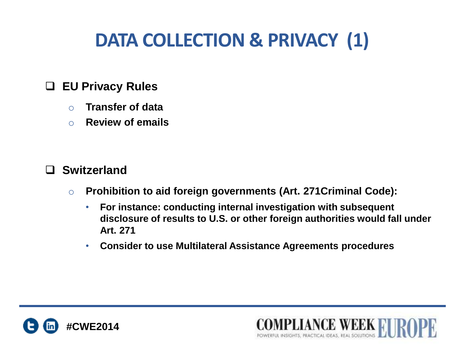# **DATA COLLECTION & PRIVACY (1)**

### **EU Privacy Rules**

- o **Transfer of data**
- o **Review of emails**

#### **Switzerland**

- o **Prohibition to aid foreign governments (Art. 271Criminal Code):**
	- **For instance: conducting internal investigation with subsequent disclosure of results to U.S. or other foreign authorities would fall under Art. 271**

**COMPLIANCE WEEK FULL AND SOLUTIONS AND SOLUTIONS** 

• **Consider to use Multilateral Assistance Agreements procedures**

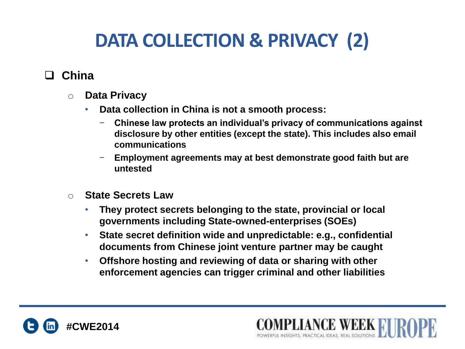# **DATA COLLECTION & PRIVACY (2)**

### **China**

- o **Data Privacy**
	- **Data collection in China is not a smooth process:**
		- − **Chinese law protects an individual's privacy of communications against disclosure by other entities (except the state). This includes also email communications**

**PLIANCE WEEK RI** 

- − **Employment agreements may at best demonstrate good faith but are untested**
- o **State Secrets Law**
	- **They protect secrets belonging to the state, provincial or local governments including State-owned-enterprises (SOEs)**
	- **State secret definition wide and unpredictable: e.g., confidential documents from Chinese joint venture partner may be caught**
	- **Offshore hosting and reviewing of data or sharing with other enforcement agencies can trigger criminal and other liabilities**

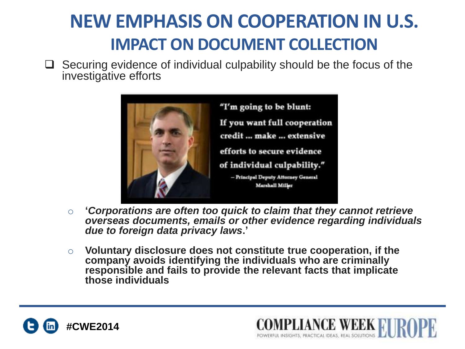## **NEW EMPHASIS ON COOPERATION IN U.S. IMPACT ON DOCUMENT COLLECTION**

 $\Box$  Securing evidence of individual culpability should be the focus of the investigative efforts



- o **'***Corporations are often too quick to claim that they cannot retrieve overseas documents, emails or other evidence regarding individuals due to foreign data privacy laws***.'**
- o **Voluntary disclosure does not constitute true cooperation, if the company avoids identifying the individuals who are criminally responsible and fails to provide the relevant facts that implicate those individuals**



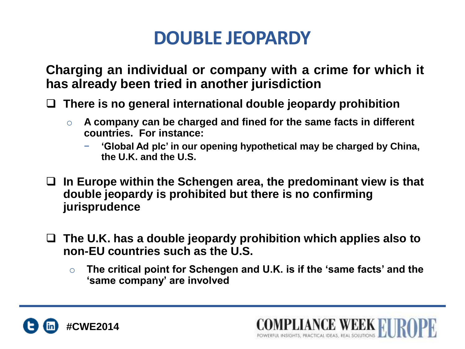### **DOUBLE JEOPARDY**

**Charging an individual or company with a crime for which it has already been tried in another jurisdiction**

**There is no general international double jeopardy prohibition**

- o **A company can be charged and fined for the same facts in different countries. For instance:**
	- − **'Global Ad plc' in our opening hypothetical may be charged by China, the U.K. and the U.S.**
- **In Europe within the Schengen area, the predominant view is that double jeopardy is prohibited but there is no confirming jurisprudence**
- **The U.K. has a double jeopardy prohibition which applies also to non-EU countries such as the U.S.**
	- o **The critical point for Schengen and U.K. is if the 'same facts' and the 'same company' are involved**

**LANCE WEEK FI** 

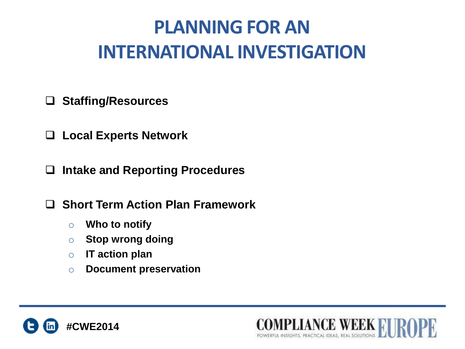# **PLANNING FOR AN INTERNATIONAL INVESTIGATION**

#### **Staffing/Resources**

**Local Experts Network**

**Intake and Reporting Procedures**

**Short Term Action Plan Framework**

- o **Who to notify**
- o **Stop wrong doing**
- o **IT action plan**
- o **Document preservation**